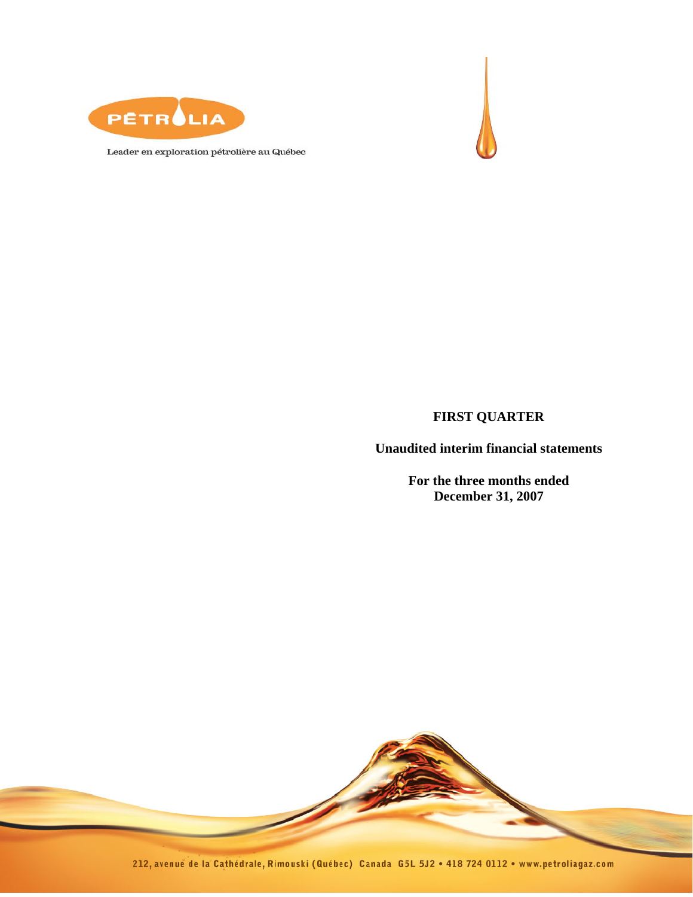



Leader en exploration pétrolière au Québec

## **FIRST QUARTER**

**Unaudited interim financial statements** 

**For the three months ended December 31, 2007** 

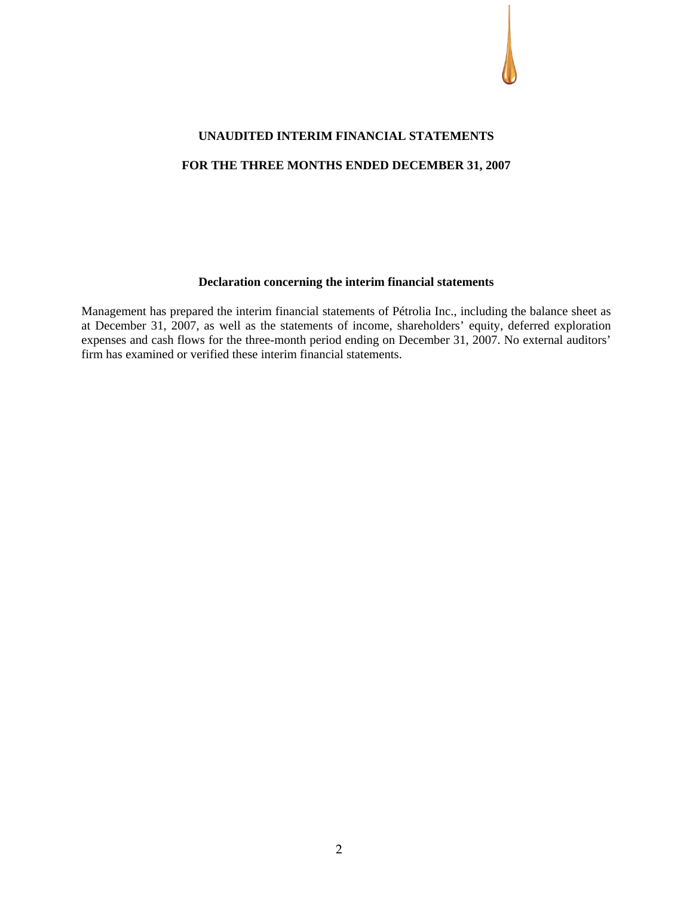

# **UNAUDITED INTERIM FINANCIAL STATEMENTS FOR THE THREE MONTHS ENDED DECEMBER 31, 2007**

#### **Declaration concerning the interim financial statements**

Management has prepared the interim financial statements of Pétrolia Inc., including the balance sheet as at December 31, 2007, as well as the statements of income, shareholders' equity, deferred exploration expenses and cash flows for the three-month period ending on December 31, 2007. No external auditors' firm has examined or verified these interim financial statements.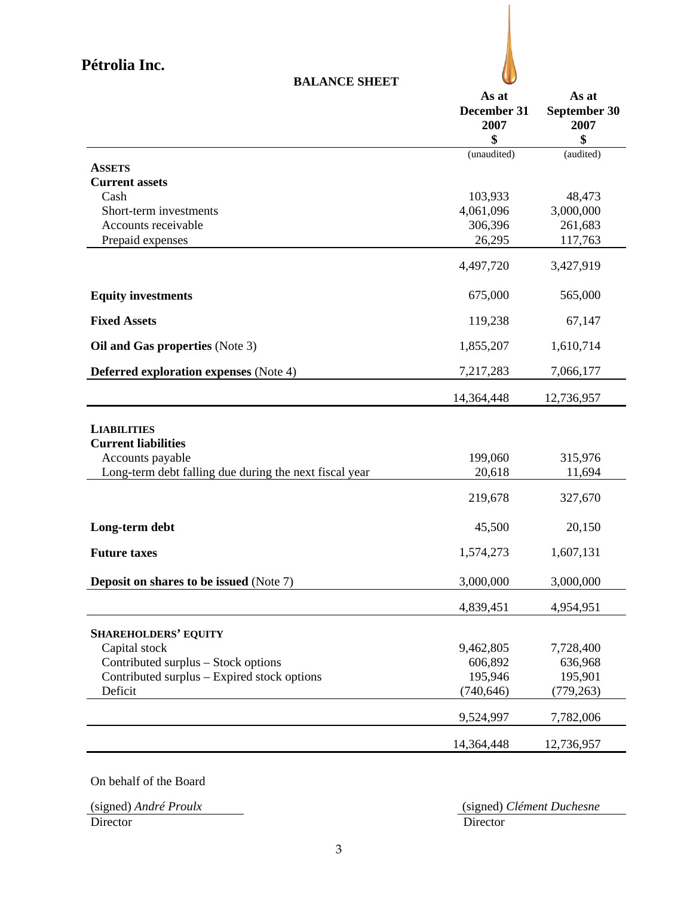

| <b>BALANCE SHEET</b>                                   |                              |                               |  |  |
|--------------------------------------------------------|------------------------------|-------------------------------|--|--|
|                                                        | As at<br>December 31<br>2007 | As at<br>September 30<br>2007 |  |  |
|                                                        | \$                           | \$                            |  |  |
| <b>ASSETS</b>                                          | (unaudited)                  | (audited)                     |  |  |
| <b>Current assets</b>                                  |                              |                               |  |  |
| Cash                                                   | 103,933                      | 48,473                        |  |  |
| Short-term investments                                 | 4,061,096                    | 3,000,000                     |  |  |
| Accounts receivable                                    | 306,396                      | 261,683                       |  |  |
| Prepaid expenses                                       | 26,295                       | 117,763                       |  |  |
|                                                        | 4,497,720                    | 3,427,919                     |  |  |
| <b>Equity investments</b>                              | 675,000                      | 565,000                       |  |  |
| <b>Fixed Assets</b>                                    | 119,238                      | 67,147                        |  |  |
| Oil and Gas properties (Note 3)                        | 1,855,207                    | 1,610,714                     |  |  |
| <b>Deferred exploration expenses</b> (Note 4)          | 7,217,283                    | 7,066,177                     |  |  |
|                                                        | 14,364,448                   | 12,736,957                    |  |  |
| <b>LIABILITIES</b><br><b>Current liabilities</b>       |                              |                               |  |  |
| Accounts payable                                       | 199,060                      | 315,976                       |  |  |
| Long-term debt falling due during the next fiscal year | 20,618                       | 11,694                        |  |  |
|                                                        | 219,678                      | 327,670                       |  |  |
| Long-term debt                                         | 45,500                       | 20,150                        |  |  |
| <b>Future taxes</b>                                    | 1,574,273                    | 1,607,131                     |  |  |
| <b>Deposit on shares to be issued (Note 7)</b>         | 3,000,000                    | 3,000,000                     |  |  |
|                                                        | 4,839,451                    | 4,954,951                     |  |  |
| <b>SHAREHOLDERS' EQUITY</b>                            |                              |                               |  |  |
| Capital stock                                          | 9,462,805                    | 7,728,400                     |  |  |
| Contributed surplus – Stock options                    | 606,892                      | 636,968                       |  |  |
| Contributed surplus – Expired stock options            | 195,946                      | 195,901                       |  |  |
| Deficit                                                | (740, 646)                   | (779, 263)                    |  |  |
|                                                        | 9,524,997                    | 7,782,006                     |  |  |
|                                                        | 14,364,448                   | 12,736,957                    |  |  |

On behalf of the Board

Director Director Director

(signed) *André Proulx* (signed) *Clément Duchesne*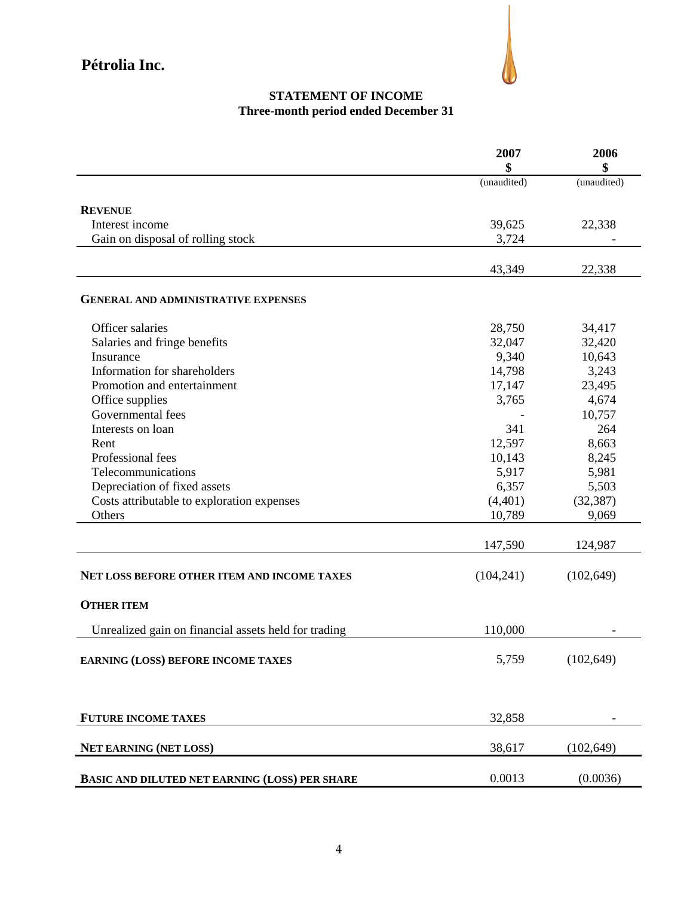

## **STATEMENT OF INCOME Three-month period ended December 31**

|                                                      | 2007<br>\$  | 2006<br>\$  |
|------------------------------------------------------|-------------|-------------|
|                                                      | (unaudited) | (unaudited) |
| <b>REVENUE</b>                                       |             |             |
| Interest income                                      | 39,625      | 22,338      |
| Gain on disposal of rolling stock                    | 3,724       |             |
|                                                      |             |             |
|                                                      | 43,349      | 22,338      |
| <b>GENERAL AND ADMINISTRATIVE EXPENSES</b>           |             |             |
| Officer salaries                                     | 28,750      | 34,417      |
| Salaries and fringe benefits                         | 32,047      | 32,420      |
| Insurance                                            | 9,340       | 10,643      |
| Information for shareholders                         | 14,798      | 3,243       |
| Promotion and entertainment                          | 17,147      | 23,495      |
| Office supplies                                      | 3,765       | 4,674       |
| Governmental fees                                    |             | 10,757      |
| Interests on loan                                    | 341         | 264         |
| Rent                                                 | 12,597      | 8,663       |
| Professional fees                                    | 10,143      | 8,245       |
| Telecommunications                                   | 5,917       | 5,981       |
| Depreciation of fixed assets                         | 6,357       | 5,503       |
| Costs attributable to exploration expenses           | (4,401)     | (32, 387)   |
| Others                                               | 10,789      | 9,069       |
|                                                      | 147,590     | 124,987     |
| <b>NET LOSS BEFORE OTHER ITEM AND INCOME TAXES</b>   | (104, 241)  | (102, 649)  |
| <b>OTHER ITEM</b>                                    |             |             |
| Unrealized gain on financial assets held for trading | 110,000     |             |
|                                                      |             |             |
| EARNING (LOSS) BEFORE INCOME TAXES                   | 5,759       | (102, 649)  |
|                                                      |             |             |
| <b>FUTURE INCOME TAXES</b>                           | 32,858      |             |
| <b>NET EARNING (NET LOSS)</b>                        | 38,617      | (102, 649)  |
| BASIC AND DILUTED NET EARNING (LOSS) PER SHARE       | 0.0013      | (0.0036)    |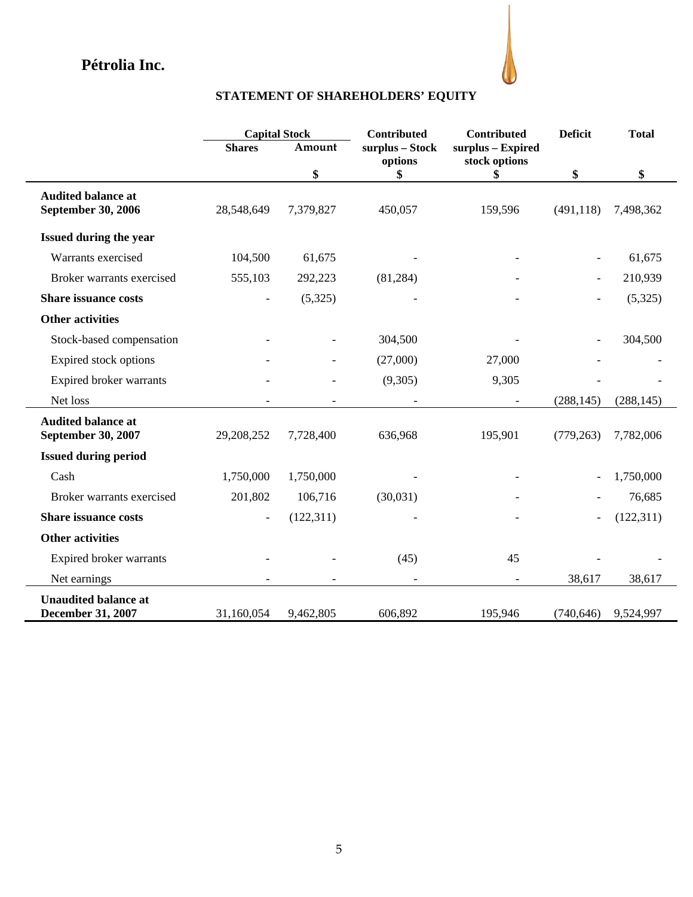

# **STATEMENT OF SHAREHOLDERS' EQUITY**

|                                                         | <b>Capital Stock</b> |            | Contributed                | Contributed                        | <b>Deficit</b>           | <b>Total</b> |
|---------------------------------------------------------|----------------------|------------|----------------------------|------------------------------------|--------------------------|--------------|
|                                                         | <b>Shares</b>        | Amount     | surplus - Stock<br>options | surplus - Expired<br>stock options |                          |              |
|                                                         |                      | \$         | \$                         | \$                                 | \$                       | \$           |
| <b>Audited balance at</b><br>September 30, 2006         | 28,548,649           | 7,379,827  | 450,057                    | 159,596                            | (491, 118)               | 7,498,362    |
| Issued during the year                                  |                      |            |                            |                                    |                          |              |
| Warrants exercised                                      | 104,500              | 61,675     |                            |                                    |                          | 61,675       |
| Broker warrants exercised                               | 555,103              | 292,223    | (81, 284)                  |                                    | $\overline{\phantom{a}}$ | 210,939      |
| <b>Share issuance costs</b>                             |                      | (5,325)    |                            |                                    |                          | (5,325)      |
| <b>Other activities</b>                                 |                      |            |                            |                                    |                          |              |
| Stock-based compensation                                |                      |            | 304,500                    |                                    |                          | 304,500      |
| Expired stock options                                   |                      |            | (27,000)                   | 27,000                             |                          |              |
| Expired broker warrants                                 |                      |            | (9,305)                    | 9,305                              |                          |              |
| Net loss                                                |                      |            |                            | $\overline{\phantom{a}}$           | (288, 145)               | (288, 145)   |
| <b>Audited balance at</b><br>September 30, 2007         | 29,208,252           | 7,728,400  | 636,968                    | 195,901                            | (779, 263)               | 7,782,006    |
| <b>Issued during period</b>                             |                      |            |                            |                                    |                          |              |
| Cash                                                    | 1,750,000            | 1,750,000  |                            |                                    |                          | 1,750,000    |
| Broker warrants exercised                               | 201,802              | 106,716    | (30,031)                   |                                    |                          | 76,685       |
| <b>Share issuance costs</b>                             |                      | (122, 311) |                            |                                    |                          | (122, 311)   |
| <b>Other activities</b>                                 |                      |            |                            |                                    |                          |              |
| Expired broker warrants                                 |                      |            | (45)                       | 45                                 |                          |              |
| Net earnings                                            |                      |            |                            |                                    | 38,617                   | 38,617       |
| <b>Unaudited balance at</b><br><b>December 31, 2007</b> | 31,160,054           | 9,462,805  | 606,892                    | 195,946                            | (740, 646)               | 9,524,997    |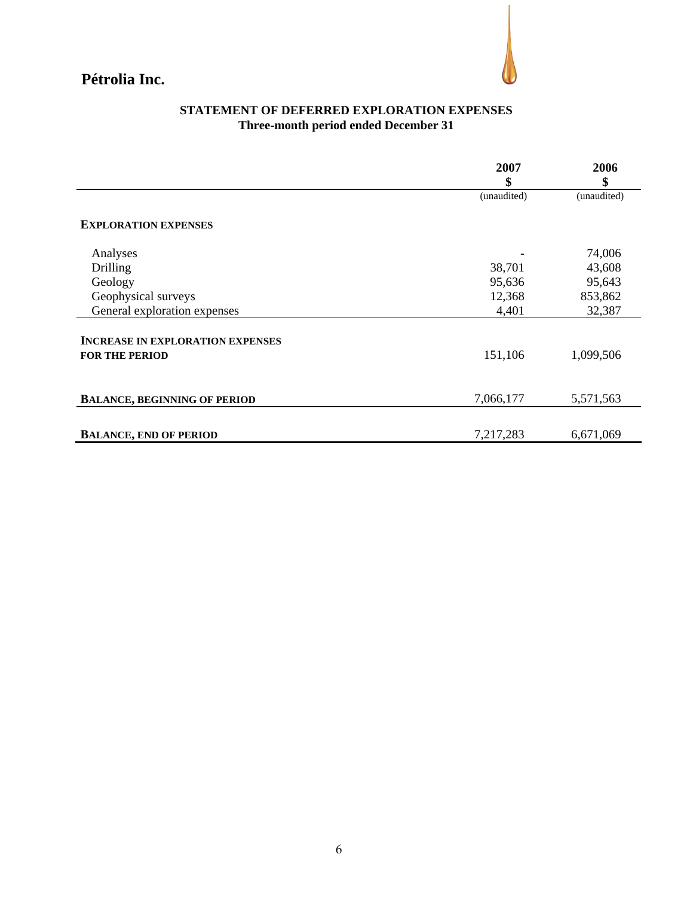

## **STATEMENT OF DEFERRED EXPLORATION EXPENSES Three-month period ended December 31**

|                                         | 2007        | 2006        |
|-----------------------------------------|-------------|-------------|
|                                         | \$          | \$          |
|                                         | (unaudited) | (unaudited) |
| <b>EXPLORATION EXPENSES</b>             |             |             |
|                                         |             |             |
| Analyses                                |             | 74,006      |
| Drilling                                | 38,701      | 43,608      |
| Geology                                 | 95,636      | 95,643      |
| Geophysical surveys                     | 12,368      | 853,862     |
| General exploration expenses            | 4,401       | 32,387      |
| <b>INCREASE IN EXPLORATION EXPENSES</b> |             |             |
| <b>FOR THE PERIOD</b>                   | 151,106     | 1,099,506   |
|                                         |             |             |
|                                         |             |             |
| <b>BALANCE, BEGINNING OF PERIOD</b>     | 7,066,177   | 5,571,563   |
|                                         |             |             |
| <b>BALANCE, END OF PERIOD</b>           | 7,217,283   | 6,671,069   |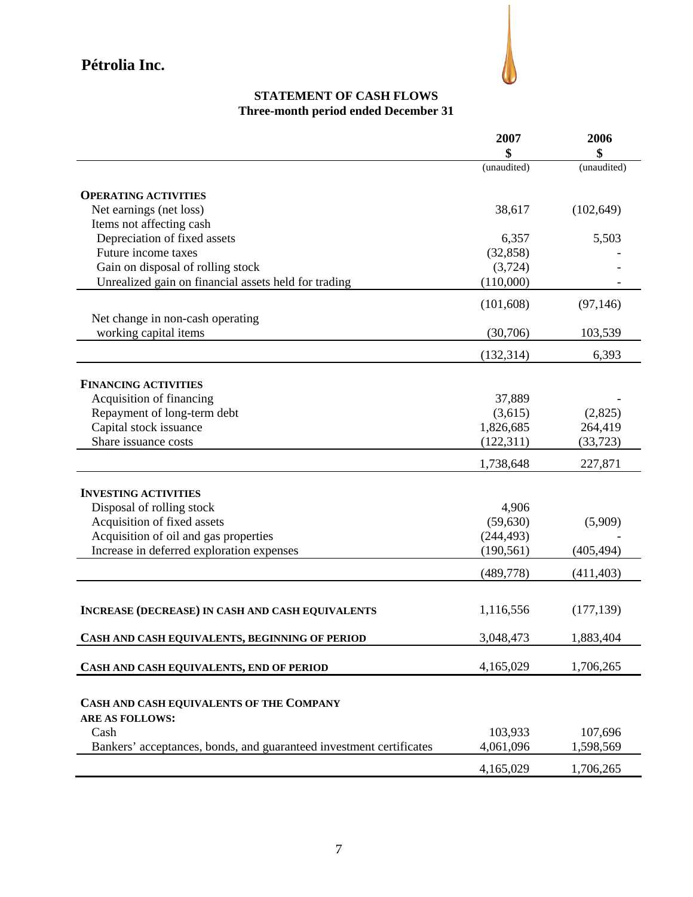

## **STATEMENT OF CASH FLOWS Three-month period ended December 31**

|                                                                     | 2007        | 2006        |
|---------------------------------------------------------------------|-------------|-------------|
|                                                                     |             | \$          |
|                                                                     | (unaudited) | (unaudited) |
| <b>OPERATING ACTIVITIES</b>                                         |             |             |
| Net earnings (net loss)                                             | 38,617      | (102, 649)  |
| Items not affecting cash                                            |             |             |
| Depreciation of fixed assets                                        | 6,357       | 5,503       |
| Future income taxes                                                 | (32, 858)   |             |
| Gain on disposal of rolling stock                                   | (3,724)     |             |
| Unrealized gain on financial assets held for trading                | (110,000)   |             |
|                                                                     |             |             |
|                                                                     | (101,608)   | (97, 146)   |
| Net change in non-cash operating                                    |             |             |
| working capital items                                               | (30,706)    | 103,539     |
|                                                                     | (132, 314)  | 6,393       |
|                                                                     |             |             |
| <b>FINANCING ACTIVITIES</b>                                         |             |             |
| Acquisition of financing                                            | 37,889      |             |
| Repayment of long-term debt                                         | (3,615)     | (2,825)     |
| Capital stock issuance                                              | 1,826,685   | 264,419     |
| Share issuance costs                                                | (122, 311)  | (33, 723)   |
|                                                                     | 1,738,648   | 227,871     |
|                                                                     |             |             |
| <b>INVESTING ACTIVITIES</b>                                         |             |             |
| Disposal of rolling stock                                           | 4,906       |             |
| Acquisition of fixed assets                                         | (59, 630)   | (5,909)     |
| Acquisition of oil and gas properties                               | (244, 493)  |             |
| Increase in deferred exploration expenses                           | (190, 561)  | (405, 494)  |
|                                                                     | (489, 778)  | (411, 403)  |
|                                                                     |             |             |
| <b>INCREASE (DECREASE) IN CASH AND CASH EQUIVALENTS</b>             | 1,116,556   | (177, 139)  |
|                                                                     |             |             |
| CASH AND CASH EQUIVALENTS, BEGINNING OF PERIOD                      | 3,048,473   | 1,883,404   |
| CASH AND CASH EQUIVALENTS, END OF PERIOD                            | 4,165,029   | 1,706,265   |
|                                                                     |             |             |
| CASH AND CASH EQUIVALENTS OF THE COMPANY                            |             |             |
| <b>ARE AS FOLLOWS:</b>                                              |             |             |
| Cash                                                                | 103,933     | 107,696     |
| Bankers' acceptances, bonds, and guaranteed investment certificates | 4,061,096   | 1,598,569   |
|                                                                     |             |             |
|                                                                     | 4,165,029   | 1,706,265   |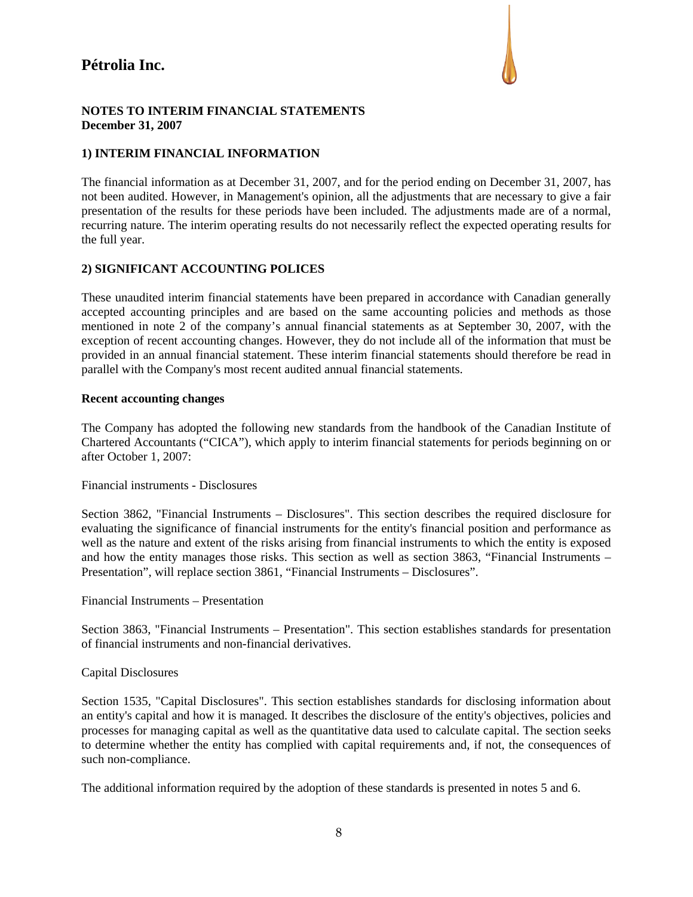

#### **NOTES TO INTERIM FINANCIAL STATEMENTS December 31, 2007**

### **1) INTERIM FINANCIAL INFORMATION**

The financial information as at December 31, 2007, and for the period ending on December 31, 2007, has not been audited. However, in Management's opinion, all the adjustments that are necessary to give a fair presentation of the results for these periods have been included. The adjustments made are of a normal, recurring nature. The interim operating results do not necessarily reflect the expected operating results for the full year.

### **2) SIGNIFICANT ACCOUNTING POLICES**

These unaudited interim financial statements have been prepared in accordance with Canadian generally accepted accounting principles and are based on the same accounting policies and methods as those mentioned in note 2 of the company's annual financial statements as at September 30, 2007, with the exception of recent accounting changes. However, they do not include all of the information that must be provided in an annual financial statement. These interim financial statements should therefore be read in parallel with the Company's most recent audited annual financial statements.

#### **Recent accounting changes**

The Company has adopted the following new standards from the handbook of the Canadian Institute of Chartered Accountants ("CICA"), which apply to interim financial statements for periods beginning on or after October 1, 2007:

Financial instruments - Disclosures

Section 3862, "Financial Instruments – Disclosures". This section describes the required disclosure for evaluating the significance of financial instruments for the entity's financial position and performance as well as the nature and extent of the risks arising from financial instruments to which the entity is exposed and how the entity manages those risks. This section as well as section 3863, "Financial Instruments – Presentation", will replace section 3861, "Financial Instruments – Disclosures".

Financial Instruments – Presentation

Section 3863, "Financial Instruments – Presentation". This section establishes standards for presentation of financial instruments and non-financial derivatives.

### Capital Disclosures

Section 1535, "Capital Disclosures". This section establishes standards for disclosing information about an entity's capital and how it is managed. It describes the disclosure of the entity's objectives, policies and processes for managing capital as well as the quantitative data used to calculate capital. The section seeks to determine whether the entity has complied with capital requirements and, if not, the consequences of such non-compliance.

The additional information required by the adoption of these standards is presented in notes 5 and 6.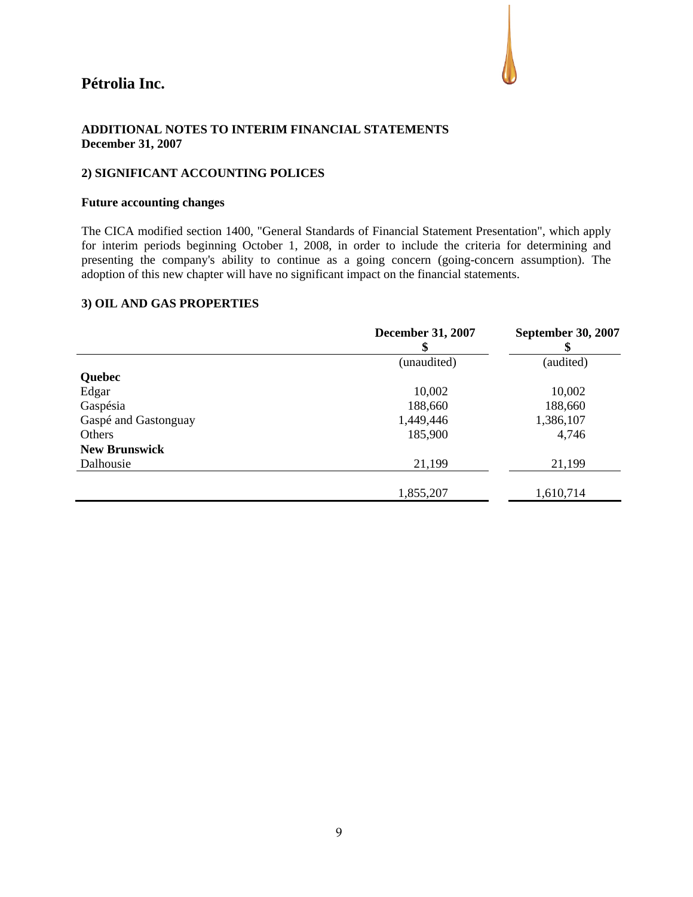

#### **ADDITIONAL NOTES TO INTERIM FINANCIAL STATEMENTS December 31, 2007**

#### **2) SIGNIFICANT ACCOUNTING POLICES**

#### **Future accounting changes**

The CICA modified section 1400, "General Standards of Financial Statement Presentation", which apply for interim periods beginning October 1, 2008, in order to include the criteria for determining and presenting the company's ability to continue as a going concern (going-concern assumption). The adoption of this new chapter will have no significant impact on the financial statements.

#### **3) OIL AND GAS PROPERTIES**

|                      | <b>December 31, 2007</b><br>\$ | <b>September 30, 2007</b> |
|----------------------|--------------------------------|---------------------------|
|                      | (unaudited)                    | (audited)                 |
| <b>Quebec</b>        |                                |                           |
| Edgar                | 10,002                         | 10,002                    |
| Gaspésia             | 188,660                        | 188,660                   |
| Gaspé and Gastonguay | 1,449,446                      | 1,386,107                 |
| Others               | 185,900                        | 4,746                     |
| <b>New Brunswick</b> |                                |                           |
| Dalhousie            | 21,199                         | 21,199                    |
|                      |                                |                           |
|                      | 1,855,207                      | 1,610,714                 |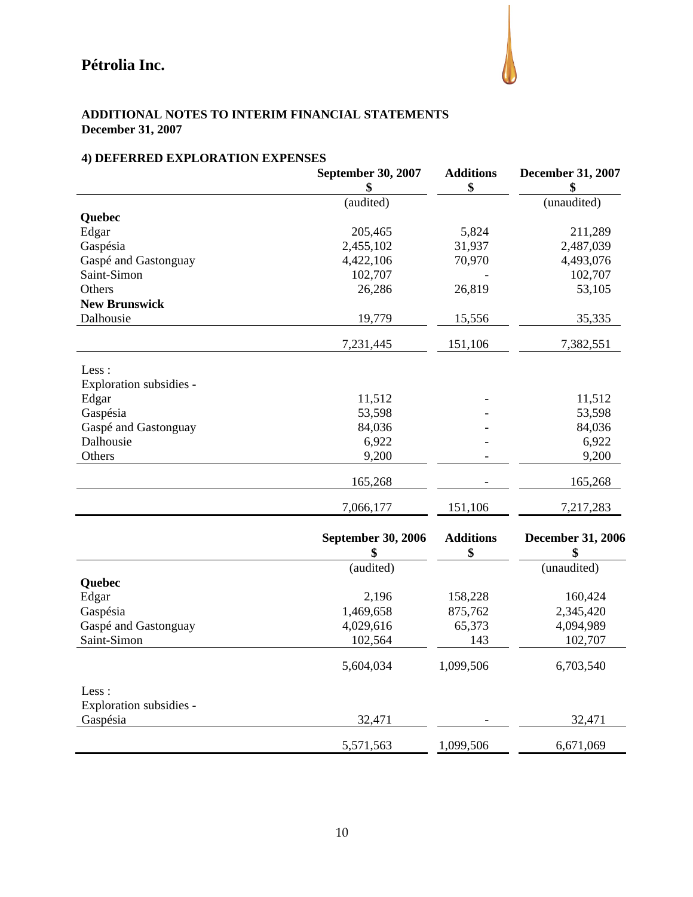

### **ADDITIONAL NOTES TO INTERIM FINANCIAL STATEMENTS December 31, 2007**

## **4) DEFERRED EXPLORATION EXPENSES**

|                         | September 30, 2007              | <b>Additions</b>       | December 31, 2007              |
|-------------------------|---------------------------------|------------------------|--------------------------------|
|                         | \$                              | \$                     | \$                             |
|                         | $\overline{(audited)}$          |                        | (unaudited)                    |
| Quebec                  |                                 |                        |                                |
| Edgar                   | 205,465                         | 5,824                  | 211,289                        |
| Gaspésia                | 2,455,102                       | 31,937                 | 2,487,039                      |
| Gaspé and Gastonguay    | 4,422,106                       | 70,970                 | 4,493,076                      |
| Saint-Simon             | 102,707                         |                        | 102,707                        |
| Others                  | 26,286                          | 26,819                 | 53,105                         |
| <b>New Brunswick</b>    |                                 |                        |                                |
| Dalhousie               | 19,779                          | 15,556                 | 35,335                         |
|                         | 7,231,445                       | 151,106                | 7,382,551                      |
| Less :                  |                                 |                        |                                |
| Exploration subsidies - |                                 |                        |                                |
| Edgar                   | 11,512                          |                        | 11,512                         |
| Gaspésia                | 53,598                          |                        | 53,598                         |
| Gaspé and Gastonguay    | 84,036                          |                        | 84,036                         |
| Dalhousie               | 6,922                           |                        | 6,922                          |
| Others                  | 9,200                           |                        | 9,200                          |
|                         | 165,268                         |                        | 165,268                        |
|                         | 7,066,177                       | 151,106                | 7,217,283                      |
|                         | <b>September 30, 2006</b><br>\$ | <b>Additions</b><br>\$ | <b>December 31, 2006</b><br>\$ |
|                         | (audited)                       |                        | (unaudited)                    |
| Quebec                  |                                 |                        |                                |
| Edgar                   | 2,196                           | 158,228                | 160,424                        |
| Gaspésia                | 1,469,658                       | 875,762                | 2,345,420                      |
| Gaspé and Gastonguay    | 4,029,616                       | 65,373                 | 4,094,989                      |
| Saint-Simon             | 102,564                         | 143                    | 102,707                        |
|                         | 5,604,034                       | 1,099,506              | 6,703,540                      |
| Less:                   |                                 |                        |                                |
| Exploration subsidies - |                                 |                        |                                |
| Gaspésia                | 32,471                          |                        | 32,471                         |
|                         | 5,571,563                       | 1,099,506              | 6,671,069                      |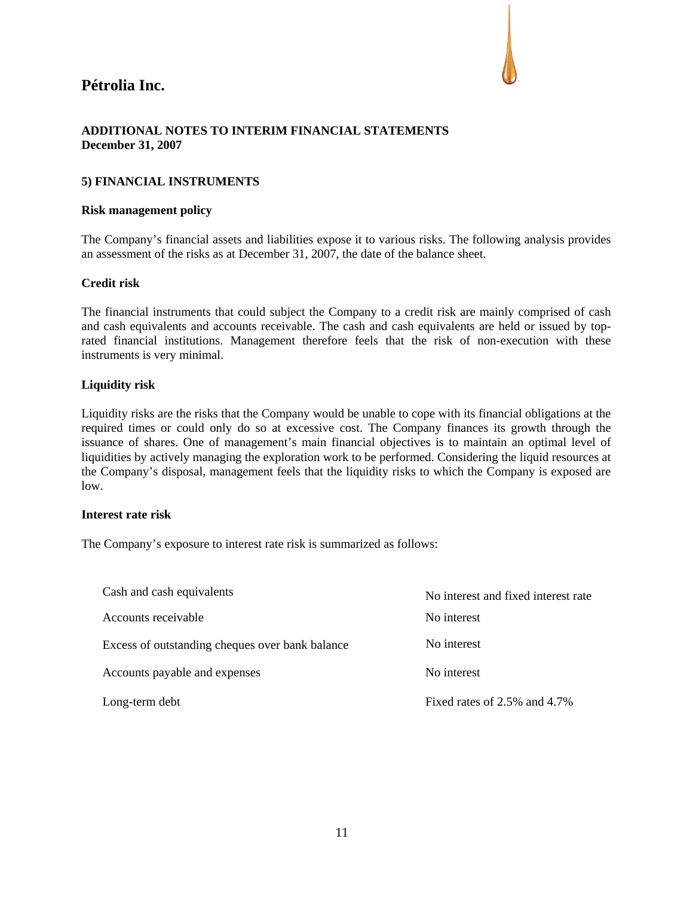

### **ADDITIONAL NOTES TO INTERIM FINANCIAL STATEMENTS December 31, 2007**

#### **5) FINANCIAL INSTRUMENTS**

#### **Risk management policy**

The Company's financial assets and liabilities expose it to various risks. The following analysis provides an assessment of the risks as at December 31, 2007, the date of the balance sheet.

#### **Credit risk**

The financial instruments that could subject the Company to a credit risk are mainly comprised of cash and cash equivalents and accounts receivable. The cash and cash equivalents are held or issued by toprated financial institutions. Management therefore feels that the risk of non-execution with these instruments is very minimal.

#### **Liquidity risk**

Liquidity risks are the risks that the Company would be unable to cope with its financial obligations at the required times or could only do so at excessive cost. The Company finances its growth through the issuance of shares. One of management's main financial objectives is to maintain an optimal level of liquidities by actively managing the exploration work to be performed. Considering the liquid resources at the Company's disposal, management feels that the liquidity risks to which the Company is exposed are low.

#### **Interest rate risk**

The Company's exposure to interest rate risk is summarized as follows:

| Cash and cash equivalents                       | No interest and fixed interest rate |
|-------------------------------------------------|-------------------------------------|
| Accounts receivable                             | No interest                         |
| Excess of outstanding cheques over bank balance | No interest                         |
| Accounts payable and expenses                   | No interest                         |
| Long-term debt                                  | Fixed rates of $2.5\%$ and $4.7\%$  |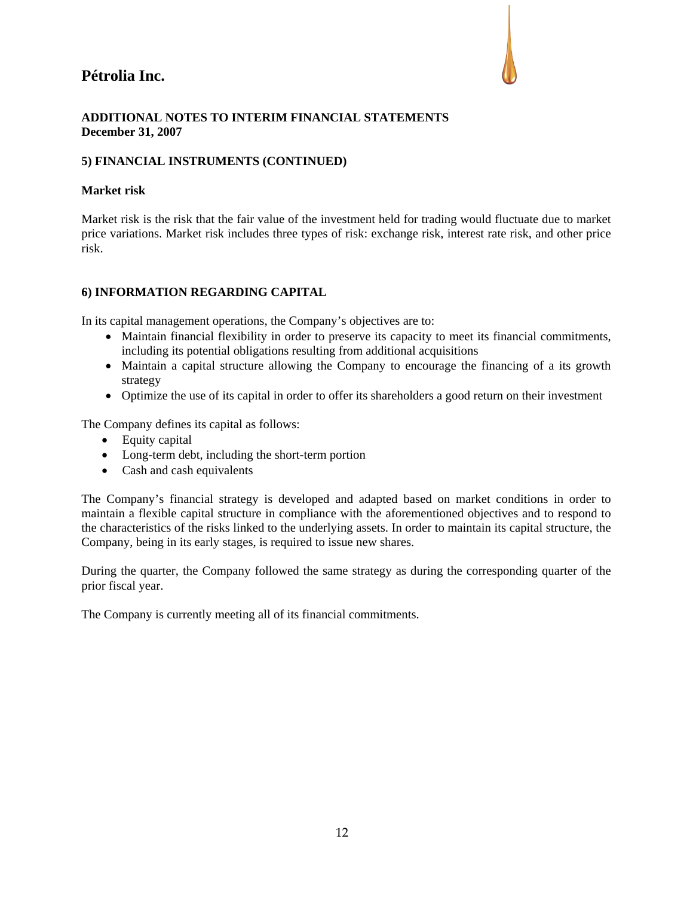

#### **ADDITIONAL NOTES TO INTERIM FINANCIAL STATEMENTS December 31, 2007**

### **5) FINANCIAL INSTRUMENTS (CONTINUED)**

#### **Market risk**

Market risk is the risk that the fair value of the investment held for trading would fluctuate due to market price variations. Market risk includes three types of risk: exchange risk, interest rate risk, and other price risk.

#### **6) INFORMATION REGARDING CAPITAL**

In its capital management operations, the Company's objectives are to:

- Maintain financial flexibility in order to preserve its capacity to meet its financial commitments, including its potential obligations resulting from additional acquisitions
- Maintain a capital structure allowing the Company to encourage the financing of a its growth strategy
- Optimize the use of its capital in order to offer its shareholders a good return on their investment

The Company defines its capital as follows:

- Equity capital
- Long-term debt, including the short-term portion
- Cash and cash equivalents

The Company's financial strategy is developed and adapted based on market conditions in order to maintain a flexible capital structure in compliance with the aforementioned objectives and to respond to the characteristics of the risks linked to the underlying assets. In order to maintain its capital structure, the Company, being in its early stages, is required to issue new shares.

During the quarter, the Company followed the same strategy as during the corresponding quarter of the prior fiscal year.

The Company is currently meeting all of its financial commitments.